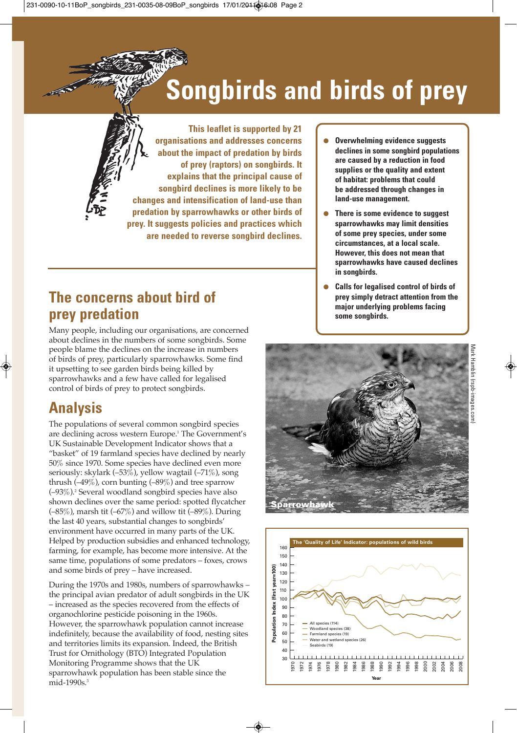# **Songbirds and birds of prey**



## **The concerns about bird of prey predation**

Many people, including our organisations, are concerned about declines in the numbers of some songbirds. Some people blame the declines on the increase in numbers of birds of prey, particularly sparrowhawks. Some find it upsetting to see garden birds being killed by sparrowhawks and a few have called for legalised control of birds of prey to protect songbirds.

#### **Analysis**

The populations of several common songbird species are declining across western Europe. <sup>1</sup> The Government's UK Sustainable Development Indicator shows that a "basket" of 19 farmland species have declined by nearly 50% since 1970. Some species have declined even more seriously: skylark (–53%), yellow wagtail (–71%), song thrush  $(-49\%)$ , corn bunting  $(-89\%)$  and tree sparrow (–93%). <sup>2</sup> Several woodland songbird species have also shown declines over the same period: spotted flycatcher (–85%), marsh tit (–67%) and willow tit (–89%). During the last 40 years, substantial changes to songbirds' environment have occurred in many parts of the UK. Helped by production subsidies and enhanced technology, farming, for example, has become more intensive. At the same time, populations of some predators – foxes, crows and some birds of prey – have increased.

During the 1970s and 1980s, numbers of sparrowhawks – the principal avian predator of adult songbirds in the UK – increased as the species recovered from the effects of organochlorine pesticide poisoning in the 1960s. However, the sparrowhawk population cannot increase indefinitely, because the availability of food, nesting sites and territories limits its expansion. Indeed, the British Trust for Ornithology (BTO) Integrated Population Monitoring Programme shows that the UK sparrowhawk population has been stable since the mid-1990s. 3

- **Overwhelming evidence suggests declines in some songbird populations are caused by a reduction in food supplies or the quality and extent of habitat: problems that could be addressed through changes in land-use management.**
- **There is some evidence to suggest sparrowhawks may limit densities of some prey species, under some circumstances, at a local scale. However, this does not mean that sparrowhawks have caused declines in songbirds.**
- **Calls for legalised control of birds of prey simply detract attention from the major underlying problems facing some songbirds.**



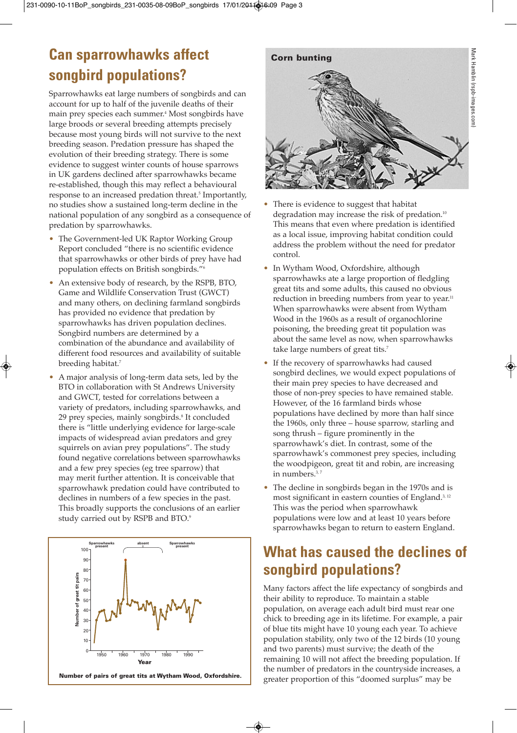### **Can sparrowhawks affect songbird populations?**

Sparrowhawks eat large numbers of songbirds and can account for up to half of the juvenile deaths of their main prey species each summer. <sup>4</sup> Most songbirds have large broods or several breeding attempts precisely because most young birds will not survive to the next breeding season. Predation pressure has shaped the evolution of their breeding strategy. There is some evidence to suggest winter counts of house sparrows in UK gardens declined after sparrowhawks became re-established, though this may reflect a behavioural response to an increased predation threat. <sup>5</sup> Importantly, no studies show a sustained long-term decline in the national population of any songbird as a consequence of predation by sparrowhawks.

- The Government-led UK Raptor Working Group Report concluded "there is no scientific evidence that sparrowhawks or other birds of prey have had population effects on British songbirds."6
- An extensive body of research, by the RSPB, BTO, Game and Wildlife Conservation Trust (GWCT) and many others, on declining farmland songbirds has provided no evidence that predation by sparrowhawks has driven population declines. Songbird numbers are determined by a combination of the abundance and availability of different food resources and availability of suitable breeding habitat. 7
- A major analysis of long-term data sets, led by the BTO in collaboration with St Andrews University and GWCT, tested for correlations between a variety of predators, including sparrowhawks, and 29 prey species, mainly songbirds. <sup>8</sup> It concluded there is "little underlying evidence for large-scale impacts of widespread avian predators and grey squirrels on avian prey populations". The study found negative correlations between sparrowhawks and a few prey species (eg tree sparrow) that may merit further attention. It is conceivable that sparrowhawk predation could have contributed to declines in numbers of a few species in the past. This broadly supports the conclusions of an earlier study carried out by RSPB and BTO. 9





- There is evidence to suggest that habitat degradation may increase the risk of predation. 10 This means that even where predation is identified as a local issue, improving habitat condition could address the problem without the need for predator control.
- In Wytham Wood, Oxfordshire, although sparrowhawks ate a large proportion of fledgling great tits and some adults, this caused no obvious reduction in breeding numbers from year to year.<sup>11</sup> When sparrowhawks were absent from Wytham Wood in the 1960s as a result of organochlorine poisoning, the breeding great tit population was about the same level as now, when sparrowhawks take large numbers of great tits. 7
- If the recovery of sparrowhawks had caused songbird declines, we would expect populations of their main prey species to have decreased and those of non-prey species to have remained stable. However, of the 16 farmland birds whose populations have declined by more than half since the 1960s, only three – house sparrow, starling and song thrush – figure prominently in the sparrowhawk's diet. In contrast, some of the sparrowhawk's commonest prey species, including the woodpigeon, great tit and robin, are increasing in numbers. 3, 7
- The decline in songbirds began in the 1970s and is most significant in eastern counties of England. 3, 12 This was the period when sparrowhawk populations were low and at least 10 years before sparrowhawks began to return to eastern England.

#### **What has caused the declines of songbird populations?**

Many factors affect the life expectancy of songbirds and their ability to reproduce. To maintain a stable population, on average each adult bird must rear one chick to breeding age in its lifetime. For example, a pair of blue tits might have 10 young each year. To achieve population stability, only two of the 12 birds (10 young and two parents) must survive; the death of the remaining 10 will not affect the breeding population. If the number of predators in the countryside increases, a greater proportion of this "doomed surplus" may be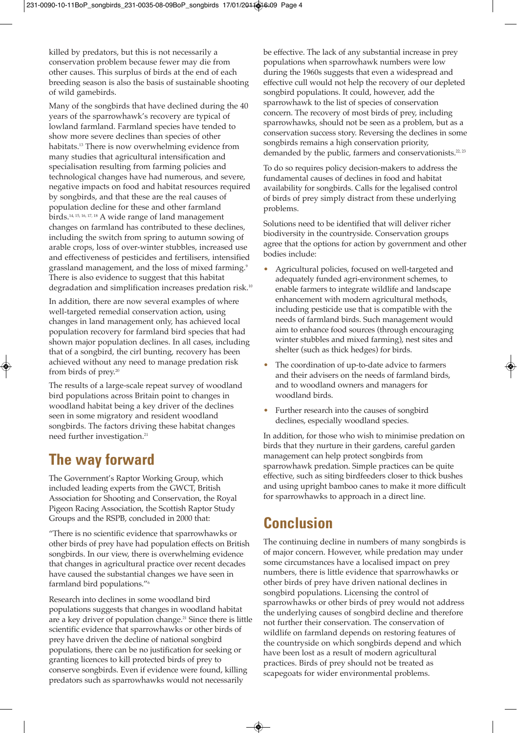killed by predators, but this is not necessarily a conservation problem because fewer may die from other causes. This surplus of birds at the end of each breeding season is also the basis of sustainable shooting of wild gamebirds.

Many of the songbirds that have declined during the 40 years of the sparrowhawk's recovery are typical of lowland farmland. Farmland species have tended to show more severe declines than species of other habitats. <sup>13</sup> There is now overwhelming evidence from many studies that agricultural intensification and specialisation resulting from farming policies and technological changes have had numerous, and severe, negative impacts on food and habitat resources required by songbirds, and that these are the real causes of population decline for these and other farmland birds. 14, 15, 16, 17, <sup>18</sup> A wide range of land management changes on farmland has contributed to these declines, including the switch from spring to autumn sowing of arable crops, loss of over-winter stubbles, increased use and effectiveness of pesticides and fertilisers, intensified grassland management, and the loss of mixed farming. 9 There is also evidence to suggest that this habitat degradation and simplification increases predation risk. 10

In addition, there are now several examples of where well-targeted remedial conservation action, using changes in land management only, has achieved local population recovery for farmland bird species that had shown major population declines. In all cases, including that of a songbird, the cirl bunting, recovery has been achieved without any need to manage predation risk from birds of prey. 20

The results of a large-scale repeat survey of woodland bird populations across Britain point to changes in woodland habitat being a key driver of the declines seen in some migratory and resident woodland songbirds. The factors driving these habitat changes need further investigation. 21

#### **The way forward**

The Government's Raptor Working Group, which included leading experts from the GWCT, British Association for Shooting and Conservation, the Royal Pigeon Racing Association, the Scottish Raptor Study Groups and the RSPB, concluded in 2000 that:

"There is no scientific evidence that sparrowhawks or other birds of prey have had population effects on British songbirds. In our view, there is overwhelming evidence that changes in agricultural practice over recent decades have caused the substantial changes we have seen in farmland bird populations."6

Research into declines in some woodland bird populations suggests that changes in woodland habitat are a key driver of population change. <sup>21</sup> Since there is little scientific evidence that sparrowhawks or other birds of prey have driven the decline of national songbird populations, there can be no justification for seeking or granting licences to kill protected birds of prey to conserve songbirds. Even if evidence were found, killing predators such as sparrowhawks would not necessarily

be effective. The lack of any substantial increase in prey populations when sparrowhawk numbers were low during the 1960s suggests that even a widespread and effective cull would not help the recovery of our depleted songbird populations. It could, however, add the sparrowhawk to the list of species of conservation concern. The recovery of most birds of prey, including sparrowhawks, should not be seen as a problem, but as a conservation success story. Reversing the declines in some songbirds remains a high conservation priority, demanded by the public, farmers and conservationists.<sup>22, 23</sup>

To do so requires policy decision-makers to address the fundamental causes of declines in food and habitat availability for songbirds. Calls for the legalised control of birds of prey simply distract from these underlying problems.

Solutions need to be identified that will deliver richer biodiversity in the countryside. Conservation groups agree that the options for action by government and other bodies include:

- Agricultural policies, focused on well-targeted and adequately funded agri-environment schemes, to enable farmers to integrate wildlife and landscape enhancement with modern agricultural methods, including pesticide use that is compatible with the needs of farmland birds. Such management would aim to enhance food sources (through encouraging winter stubbles and mixed farming), nest sites and shelter (such as thick hedges) for birds.
- The coordination of up-to-date advice to farmers and their advisers on the needs of farmland birds, and to woodland owners and managers for woodland birds.
- Further research into the causes of songbird declines, especially woodland species.

In addition, for those who wish to minimise predation on birds that they nurture in their gardens, careful garden management can help protect songbirds from sparrowhawk predation. Simple practices can be quite effective, such as siting birdfeeders closer to thick bushes and using upright bamboo canes to make it more difficult for sparrowhawks to approach in a direct line.

#### **Conclusion**

The continuing decline in numbers of many songbirds is of major concern. However, while predation may under some circumstances have a localised impact on prey numbers, there is little evidence that sparrowhawks or other birds of prey have driven national declines in songbird populations. Licensing the control of sparrowhawks or other birds of prey would not address the underlying causes of songbird decline and therefore not further their conservation. The conservation of wildlife on farmland depends on restoring features of the countryside on which songbirds depend and which have been lost as a result of modern agricultural practices. Birds of prey should not be treated as scapegoats for wider environmental problems.